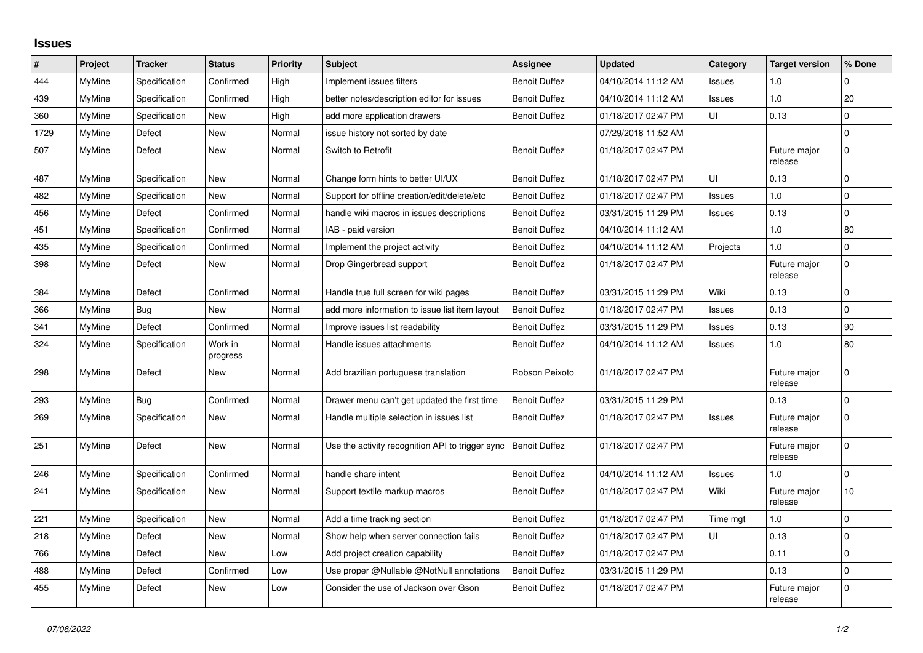## **Issues**

| #    | Project       | <b>Tracker</b> | <b>Status</b>       | <b>Priority</b> | <b>Subject</b>                                   | Assignee             | <b>Updated</b>      | Category      | <b>Target version</b>   | % Done          |
|------|---------------|----------------|---------------------|-----------------|--------------------------------------------------|----------------------|---------------------|---------------|-------------------------|-----------------|
| 444  | MyMine        | Specification  | Confirmed           | High            | Implement issues filters                         | <b>Benoit Duffez</b> | 04/10/2014 11:12 AM | Issues        | 1.0                     | $\Omega$        |
| 439  | <b>MyMine</b> | Specification  | Confirmed           | High            | better notes/description editor for issues       | <b>Benoit Duffez</b> | 04/10/2014 11:12 AM | <b>Issues</b> | 1.0                     | 20              |
| 360  | <b>MyMine</b> | Specification  | New                 | High            | add more application drawers                     | <b>Benoit Duffez</b> | 01/18/2017 02:47 PM | UI            | 0.13                    | 0               |
| 1729 | MyMine        | Defect         | New                 | Normal          | issue history not sorted by date                 |                      | 07/29/2018 11:52 AM |               |                         | $\Omega$        |
| 507  | MyMine        | Defect         | New                 | Normal          | Switch to Retrofit                               | <b>Benoit Duffez</b> | 01/18/2017 02:47 PM |               | Future major<br>release | $\Omega$        |
| 487  | MyMine        | Specification  | New                 | Normal          | Change form hints to better UI/UX                | <b>Benoit Duffez</b> | 01/18/2017 02:47 PM | UI            | 0.13                    | 0               |
| 482  | MyMine        | Specification  | <b>New</b>          | Normal          | Support for offline creation/edit/delete/etc     | <b>Benoit Duffez</b> | 01/18/2017 02:47 PM | Issues        | 1.0                     | $\Omega$        |
| 456  | <b>MyMine</b> | Defect         | Confirmed           | Normal          | handle wiki macros in issues descriptions        | <b>Benoit Duffez</b> | 03/31/2015 11:29 PM | Issues        | 0.13                    | $\mathbf 0$     |
| 451  | MyMine        | Specification  | Confirmed           | Normal          | IAB - paid version                               | <b>Benoit Duffez</b> | 04/10/2014 11:12 AM |               | 1.0                     | 80              |
| 435  | MyMine        | Specification  | Confirmed           | Normal          | Implement the project activity                   | <b>Benoit Duffez</b> | 04/10/2014 11:12 AM | Projects      | 1.0                     | $\mathbf 0$     |
| 398  | MyMine        | Defect         | <b>New</b>          | Normal          | Drop Gingerbread support                         | <b>Benoit Duffez</b> | 01/18/2017 02:47 PM |               | Future major<br>release | $\mathbf 0$     |
| 384  | MyMine        | Defect         | Confirmed           | Normal          | Handle true full screen for wiki pages           | <b>Benoit Duffez</b> | 03/31/2015 11:29 PM | Wiki          | 0.13                    | $\Omega$        |
| 366  | <b>MyMine</b> | <b>Bug</b>     | New                 | Normal          | add more information to issue list item layout   | <b>Benoit Duffez</b> | 01/18/2017 02:47 PM | Issues        | 0.13                    | $\mathbf{0}$    |
| 341  | <b>MyMine</b> | Defect         | Confirmed           | Normal          | Improve issues list readability                  | <b>Benoit Duffez</b> | 03/31/2015 11:29 PM | Issues        | 0.13                    | 90              |
| 324  | MyMine        | Specification  | Work in<br>progress | Normal          | Handle issues attachments                        | <b>Benoit Duffez</b> | 04/10/2014 11:12 AM | <b>Issues</b> | 1.0                     | 80              |
| 298  | <b>MyMine</b> | Defect         | New                 | Normal          | Add brazilian portuguese translation             | Robson Peixoto       | 01/18/2017 02:47 PM |               | Future major<br>release | 0               |
| 293  | <b>MyMine</b> | <b>Bug</b>     | Confirmed           | Normal          | Drawer menu can't get updated the first time     | <b>Benoit Duffez</b> | 03/31/2015 11:29 PM |               | 0.13                    | $\pmb{0}$       |
| 269  | MyMine        | Specification  | New                 | Normal          | Handle multiple selection in issues list         | <b>Benoit Duffez</b> | 01/18/2017 02:47 PM | <b>Issues</b> | Future major<br>release | $\mathbf{0}$    |
| 251  | MyMine        | Defect         | New                 | Normal          | Use the activity recognition API to trigger sync | <b>Benoit Duffez</b> | 01/18/2017 02:47 PM |               | Future major<br>release | $\Omega$        |
| 246  | MyMine        | Specification  | Confirmed           | Normal          | handle share intent                              | <b>Benoit Duffez</b> | 04/10/2014 11:12 AM | <b>Issues</b> | 1.0                     | $\Omega$        |
| 241  | MyMine        | Specification  | New                 | Normal          | Support textile markup macros                    | <b>Benoit Duffez</b> | 01/18/2017 02:47 PM | Wiki          | Future major<br>release | 10 <sub>1</sub> |
| 221  | MyMine        | Specification  | <b>New</b>          | Normal          | Add a time tracking section                      | <b>Benoit Duffez</b> | 01/18/2017 02:47 PM | Time mgt      | 1.0                     | $\mathbf 0$     |
| 218  | MyMine        | Defect         | <b>New</b>          | Normal          | Show help when server connection fails           | <b>Benoit Duffez</b> | 01/18/2017 02:47 PM | UI            | 0.13                    | $\mathbf 0$     |
| 766  | MyMine        | Defect         | New                 | Low             | Add project creation capability                  | <b>Benoit Duffez</b> | 01/18/2017 02:47 PM |               | 0.11                    | $\overline{0}$  |
| 488  | MyMine        | Defect         | Confirmed           | Low             | Use proper @Nullable @NotNull annotations        | <b>Benoit Duffez</b> | 03/31/2015 11:29 PM |               | 0.13                    | $\mathbf{0}$    |
| 455  | MyMine        | Defect         | <b>New</b>          | Low             | Consider the use of Jackson over Gson            | <b>Benoit Duffez</b> | 01/18/2017 02:47 PM |               | Future major<br>release | $\mathbf 0$     |